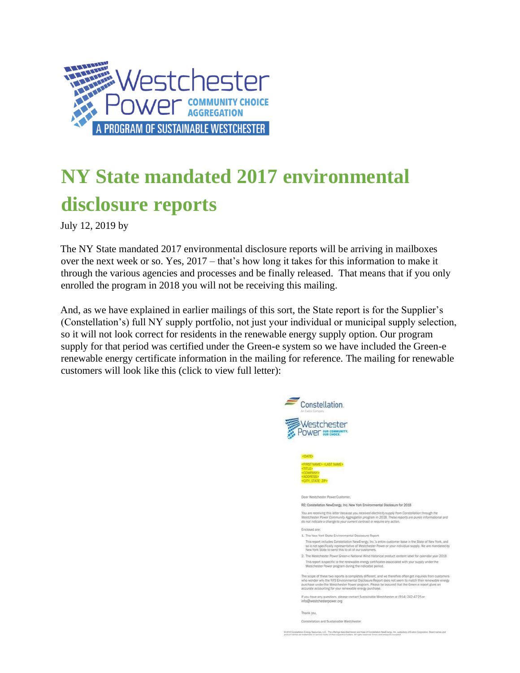

## **NY State mandated 2017 environmental disclosure reports**

July 12, 2019 by

The NY State mandated 2017 environmental disclosure reports will be arriving in mailboxes over the next week or so. Yes, 2017 – that's how long it takes for this information to make it through the various agencies and processes and be finally released. That means that if you only enrolled the program in 2018 you will not be receiving this mailing.

And, as we have explained in earlier mailings of this sort, the State report is for the Supplier's (Constellation's) full NY supply portfolio, not just your individual or municipal supply selection, so it will not look correct for residents in the renewable energy supply option. Our program supply for that period was certified under the Green-e system so we have included the Green-e renewable energy certificate information in the mailing for reference. The mailing for renewable customers will look like this (click to view full letter):